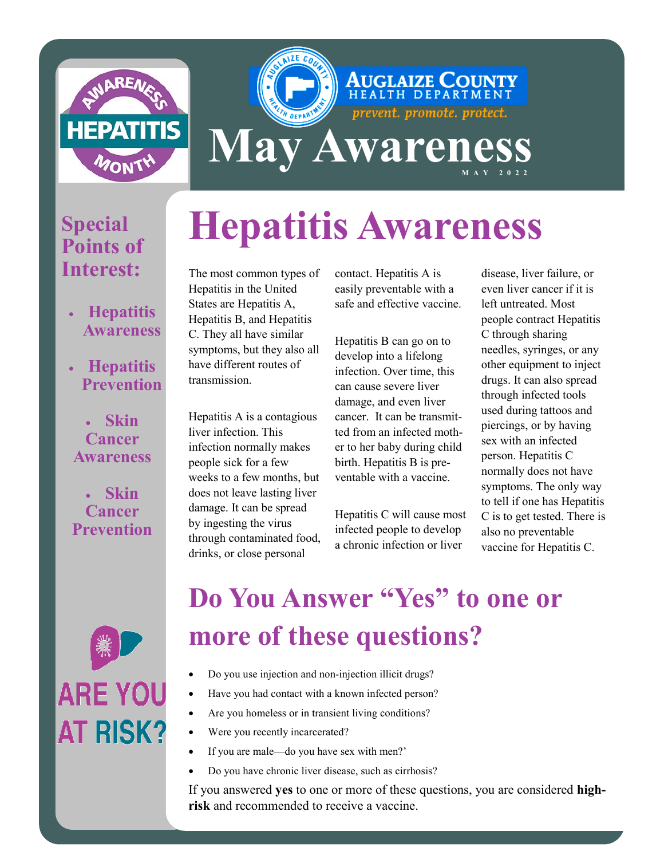

# **Hepatitis Awareness**

**May Awareness** 

### • **Hepatitis Awareness**

**Special** 

**Points of** 

**Interest:**

• **Hepatitis Prevention**

### • **Skin Cancer Awareness**

• **Skin Cancer Prevention** The most common types of Hepatitis in the United States are Hepatitis A, Hepatitis B, and Hepatitis C. They all have similar symptoms, but they also all have different routes of transmission.

Hepatitis A is a contagious liver infection. This infection normally makes people sick for a few weeks to a few months, but does not leave lasting liver damage. It can be spread by ingesting the virus through contaminated food, drinks, or close personal

contact. Hepatitis A is easily preventable with a safe and effective vaccine.

**AUGLAIZE COUNTY** 

prevent. promote. protect.

Hepatitis B can go on to develop into a lifelong infection. Over time, this can cause severe liver damage, and even liver cancer. It can be transmitted from an infected mother to her baby during child birth. Hepatitis B is preventable with a vaccine.

Hepatitis C will cause most infected people to develop a chronic infection or liver

disease, liver failure, or even liver cancer if it is left untreated. Most people contract Hepatitis C through sharing needles, syringes, or any other equipment to inject drugs. It can also spread through infected tools used during tattoos and piercings, or by having sex with an infected person. Hepatitis C normally does not have symptoms. The only way to tell if one has Hepatitis C is to get tested. There is also no preventable vaccine for Hepatitis C.



### **Do You Answer "Yes" to one or more of these questions?**

- Do you use injection and non-injection illicit drugs?
- Have you had contact with a known infected person?
- Are you homeless or in transient living conditions?
- Were you recently incarcerated?
- If you are male—do you have sex with men?'
- Do you have chronic liver disease, such as cirrhosis?

If you answered **yes** to one or more of these questions, you are considered **highrisk** and recommended to receive a vaccine.